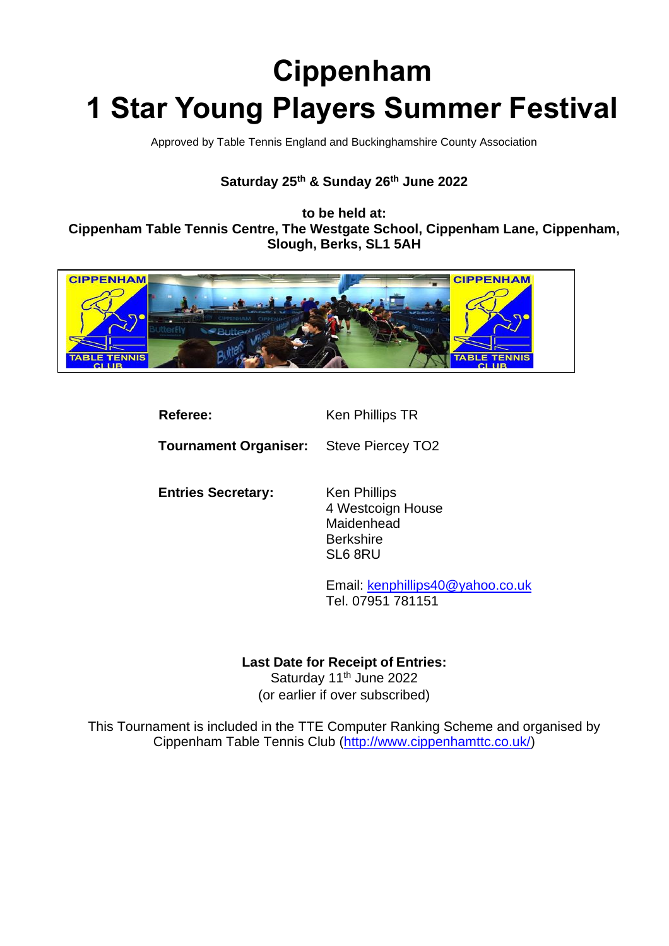# **Cippenham 1 Star Young Players Summer Festival**

Approved by Table Tennis England and Buckinghamshire County Association

# **Saturday 25th & Sunday 26th June 2022**

**to be held at: Cippenham Table Tennis Centre, The Westgate School, Cippenham Lane, Cippenham, Slough, Berks, SL1 5AH**



| Referee:                     | Ken Phillips TR                                                                |
|------------------------------|--------------------------------------------------------------------------------|
| <b>Tournament Organiser:</b> | Steve Piercey TO <sub>2</sub>                                                  |
| <b>Entries Secretary:</b>    | Ken Phillips<br>4 Westcoign House<br>Maidenhead<br><b>Berkshire</b><br>SL6 8RU |
|                              | Email: kenphillips40@yahoo.co.uk<br>Tel. 07951 781151                          |
|                              |                                                                                |

## **Last Date for Receipt of Entries:**

Saturday 11<sup>th</sup> June 2022 (or earlier if over subscribed)

This Tournament is included in the TTE Computer Ranking Scheme and organised by Cippenham Table Tennis Club [\(http://www.cippenhamttc.co.uk/\)](http://www.cippenhamttc.co.uk/)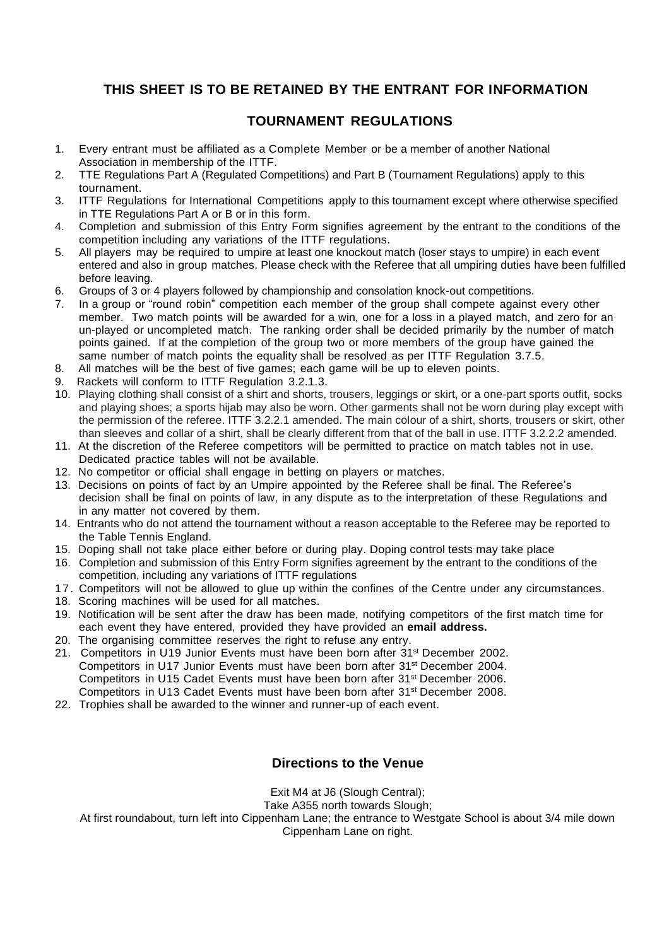## **THIS SHEET IS TO BE RETAINED BY THE ENTRANT FOR INFORMATION**

## **TOURNAMENT REGULATIONS**

- 1. Every entrant must be affiliated as a Complete Member or be a member of another National Association in membership of the ITTF.
- 2. TTE Regulations Part A (Regulated Competitions) and Part B (Tournament Regulations) apply to this tournament.
- 3. ITTF Regulations for International Competitions apply to this tournament except where otherwise specified in TTE Regulations Part A or B or in this form.
- 4. Completion and submission of this Entry Form signifies agreement by the entrant to the conditions of the competition including any variations of the ITTF regulations.
- 5. All players may be required to umpire at least one knockout match (loser stays to umpire) in each event entered and also in group matches. Please check with the Referee that all umpiring duties have been fulfilled before leaving.
- 6. Groups of 3 or 4 players followed by championship and consolation knock-out competitions.
- 7. In a group or "round robin" competition each member of the group shall compete against every other member. Two match points will be awarded for a win, one for a loss in a played match, and zero for an un-played or uncompleted match. The ranking order shall be decided primarily by the number of match points gained. If at the completion of the group two or more members of the group have gained the same number of match points the equality shall be resolved as per ITTF Regulation 3.7.5.
- 8. All matches will be the best of five games; each game will be up to eleven points.
- 9. Rackets will conform to ITTF Regulation 3.2.1.3.
- 10. Playing clothing shall consist of a shirt and shorts, trousers, leggings or skirt, or a one-part sports outfit, socks and playing shoes; a sports hijab may also be worn. Other garments shall not be worn during play except with the permission of the referee. ITTF 3.2.2.1 amended. The main colour of a shirt, shorts, trousers or skirt, other than sleeves and collar of a shirt, shall be clearly different from that of the ball in use. ITTF 3.2.2.2 amended.
- 11. At the discretion of the Referee competitors will be permitted to practice on match tables not in use. Dedicated practice tables will not be available.
- 12. No competitor or official shall engage in betting on players or matches.
- 13. Decisions on points of fact by an Umpire appointed by the Referee shall be final. The Referee's decision shall be final on points of law, in any dispute as to the interpretation of these Regulations and in any matter not covered by them.
- 14. Entrants who do not attend the tournament without a reason acceptable to the Referee may be reported to the Table Tennis England.
- 15. Doping shall not take place either before or during play. Doping control tests may take place
- 16. Completion and submission of this Entry Form signifies agreement by the entrant to the conditions of the competition, including any variations of ITTF regulations
- 17. Competitors will not be allowed to glue up within the confines of the Centre under any circumstances.
- 18. Scoring machines will be used for all matches.
- 19. Notification will be sent after the draw has been made, notifying competitors of the first match time for each event they have entered, provided they have provided an **email address.**
- 20. The organising committee reserves the right to refuse any entry.
- 21. Competitors in U19 Junior Events must have been born after 31st December 2002. Competitors in U17 Junior Events must have been born after 31st December 2004. Competitors in U15 Cadet Events must have been born after 31st December 2006. Competitors in U13 Cadet Events must have been born after 31st December 2008.
- 22. Trophies shall be awarded to the winner and runner-up of each event.

## **Directions to the Venue**

Exit M4 at J6 (Slough Central);

Take A355 north towards Slough;

At first roundabout, turn left into Cippenham Lane; the entrance to Westgate School is about 3/4 mile down Cippenham Lane on right.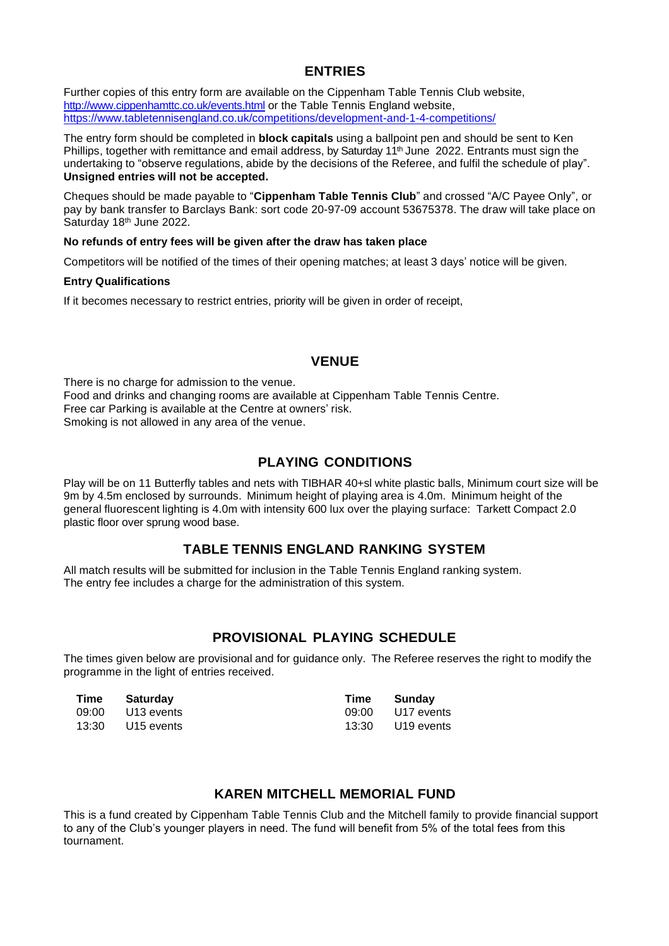## **ENTRIES**

Further copies of this entry form are available on the Cippenham Table Tennis Club website, <http://www.cippenhamttc.co.uk/events.html> or the Table Tennis England website, <https://www.tabletennisengland.co.uk/competitions/development-and-1-4-competitions/>

The entry form should be completed in **block capitals** using a ballpoint pen and should be sent to Ken Phillips, together with remittance and email address, by Saturday 11<sup>th</sup> June 2022. Entrants must sign the undertaking to "observe regulations, abide by the decisions of the Referee, and fulfil the schedule of play". **Unsigned entries will not be accepted.**

Cheques should be made payable to "**Cippenham Table Tennis Club**" and crossed "A/C Payee Only", or pay by bank transfer to Barclays Bank: sort code 20-97-09 account 53675378. The draw will take place on Saturday 18 th June 2022.

#### **No refunds of entry fees will be given after the draw has taken place**

Competitors will be notified of the times of their opening matches; at least 3 days' notice will be given.

#### **Entry Qualifications**

If it becomes necessary to restrict entries, priority will be given in order of receipt,

## **VENUE**

There is no charge for admission to the venue. Food and drinks and changing rooms are available at Cippenham Table Tennis Centre. Free car Parking is available at the Centre at owners' risk. Smoking is not allowed in any area of the venue.

## **PLAYING CONDITIONS**

Play will be on 11 Butterfly tables and nets with TIBHAR 40+sl white plastic balls, Minimum court size will be 9m by 4.5m enclosed by surrounds. Minimum height of playing area is 4.0m. Minimum height of the general fluorescent lighting is 4.0m with intensity 600 lux over the playing surface: Tarkett Compact 2.0 plastic floor over sprung wood base.

## **TABLE TENNIS ENGLAND RANKING SYSTEM**

All match results will be submitted for inclusion in the Table Tennis England ranking system. The entry fee includes a charge for the administration of this system.

## **PROVISIONAL PLAYING SCHEDULE**

The times given below are provisional and for guidance only. The Referee reserves the right to modify the programme in the light of entries received.

| Time | Saturday         | Time  | Sundav           |
|------|------------------|-------|------------------|
|      | 09:00 U13 events |       | 09:00 U17 events |
|      | 13:30 U15 events | 13:30 | U19 events       |

## **KAREN MITCHELL MEMORIAL FUND**

This is a fund created by Cippenham Table Tennis Club and the Mitchell family to provide financial support to any of the Club's younger players in need. The fund will benefit from 5% of the total fees from this tournament.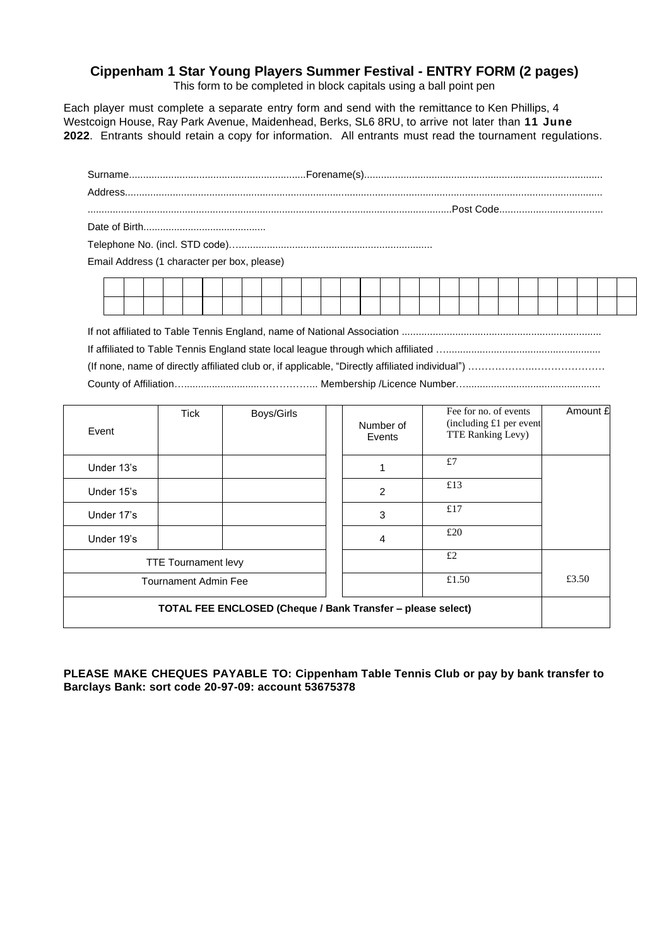## **Cippenham 1 Star Young Players Summer Festival - ENTRY FORM (2 pages)**

This form to be completed in block capitals using a ball point pen

Each player must complete a separate entry form and send with the remittance to Ken Phillips, 4 Westcoign House, Ray Park Avenue, Maidenhead, Berks, SL6 8RU, to arrive not later than **11 June 2022**. Entrants should retain a copy for information. All entrants must read the tournament regulations.

| Email Address (1 character per box, please) |  |  |  |  |  |  |
|---------------------------------------------|--|--|--|--|--|--|
|                                             |  |  |  |  |  |  |
|                                             |  |  |  |  |  |  |
|                                             |  |  |  |  |  |  |

(If none, name of directly affiliated club or, if applicable, "Directly affiliated individual") ………………..………………… County of Affiliation…...........................……………... Membership /Licence Number…................................................

| Event                                                       | <b>Tick</b>                | Boys/Girls |  | Number of<br>Events | Fee for no. of events<br>(including £1 per event)<br>TTE Ranking Levy) | Amount £ |
|-------------------------------------------------------------|----------------------------|------------|--|---------------------|------------------------------------------------------------------------|----------|
| Under 13's                                                  |                            |            |  |                     | £7                                                                     |          |
| Under 15's                                                  |                            |            |  | 2                   | £13                                                                    |          |
| Under 17's                                                  |                            |            |  | 3                   | £17                                                                    |          |
| Under 19's                                                  |                            |            |  | $\overline{4}$      | £20                                                                    |          |
|                                                             | <b>TTE Tournament levy</b> |            |  |                     | £2                                                                     |          |
| <b>Tournament Admin Fee</b>                                 |                            |            |  |                     | £1.50                                                                  | £3.50    |
| TOTAL FEE ENCLOSED (Cheque / Bank Transfer - please select) |                            |            |  |                     |                                                                        |          |

**PLEASE MAKE CHEQUES PAYABLE TO: Cippenham Table Tennis Club or pay by bank transfer to Barclays Bank: sort code 20-97-09: account 53675378**